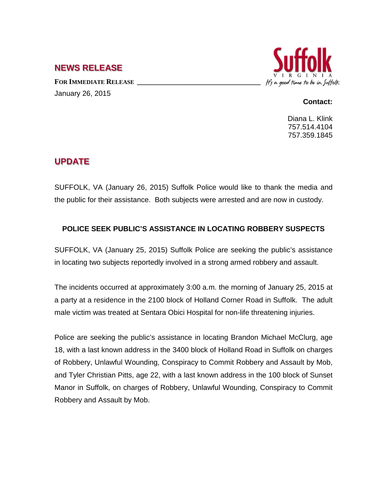## **NEWS RELEASE**

FOR IMMEDIATE RELEASE January 26, 2015



## **Contact:**

Diana L. Klink 757.514.4104 757.359.1845

## **UPDATE**

SUFFOLK, VA (January 26, 2015) Suffolk Police would like to thank the media and the public for their assistance. Both subjects were arrested and are now in custody.

## **POLICE SEEK PUBLIC'S ASSISTANCE IN LOCATING ROBBERY SUSPECTS**

SUFFOLK, VA (January 25, 2015) Suffolk Police are seeking the public's assistance in locating two subjects reportedly involved in a strong armed robbery and assault.

The incidents occurred at approximately 3:00 a.m. the morning of January 25, 2015 at a party at a residence in the 2100 block of Holland Corner Road in Suffolk. The adult male victim was treated at Sentara Obici Hospital for non-life threatening injuries.

Police are seeking the public's assistance in locating Brandon Michael McClurg, age 18, with a last known address in the 3400 block of Holland Road in Suffolk on charges of Robbery, Unlawful Wounding, Conspiracy to Commit Robbery and Assault by Mob, and Tyler Christian Pitts, age 22, with a last known address in the 100 block of Sunset Manor in Suffolk, on charges of Robbery, Unlawful Wounding, Conspiracy to Commit Robbery and Assault by Mob.